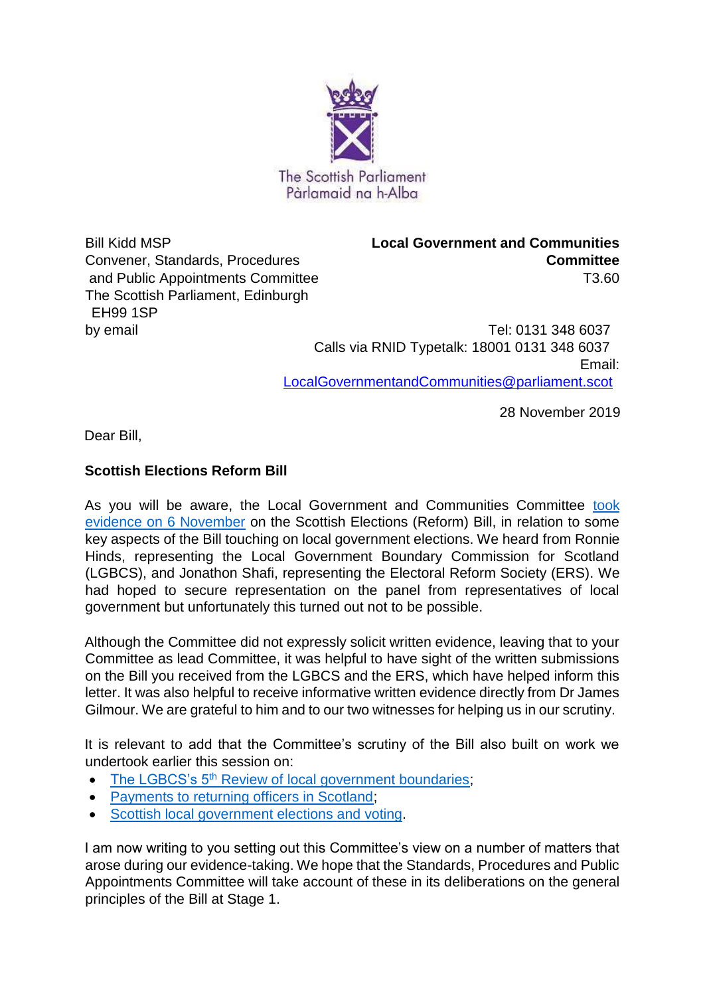

and Public Appointments Committee T3.60 The Scottish Parliament, Edinburgh EH99 1SP

Bill Kidd MSP **Local Government and Communities**  Convener, Standards, Procedures **Committee**

by email Tel: 0131 348 6037 Calls via RNID Typetalk: 18001 0131 348 6037 Email: LocalGovernmentandCommunities@parliament.scot

28 November 2019

Dear Bill,

# **Scottish Elections Reform Bill**

As you will be aware, the Local Government and Communities Committee took [evidence on 6 November](https://www.parliament.scot/parliamentarybusiness/CurrentCommittees/113414.aspx) on the Scottish Elections (Reform) Bill, in relation to some key aspects of the Bill touching on local government elections. We heard from Ronnie Hinds, representing the Local Government Boundary Commission for Scotland (LGBCS), and Jonathon Shafi, representing the Electoral Reform Society (ERS). We had hoped to secure representation on the panel from representatives of local government but unfortunately this turned out not to be possible.

Although the Committee did not expressly solicit written evidence, leaving that to your Committee as lead Committee, it was helpful to have sight of the written submissions on the Bill you received from the LGBCS and the ERS, which have helped inform this letter. It was also helpful to receive informative written evidence directly from Dr James Gilmour. We are grateful to him and to our two witnesses for helping us in our scrutiny.

It is relevant to add that the Committee's scrutiny of the Bill also built on work we undertook earlier this session on:

- The LGBCS's 5<sup>th</sup> [Review of local government boundaries;](https://www.parliament.scot/parliamentarybusiness/CurrentCommittees/101102.aspx)
- [Payments to returning officers in Scotland;](https://www.parliament.scot/parliamentarybusiness/CurrentCommittees/101100.aspx)
- [Scottish local government elections and voting.](https://www.parliament.scot/parliamentarybusiness/CurrentCommittees/101840.aspx)

I am now writing to you setting out this Committee's view on a number of matters that arose during our evidence-taking. We hope that the Standards, Procedures and Public Appointments Committee will take account of these in its deliberations on the general principles of the Bill at Stage 1.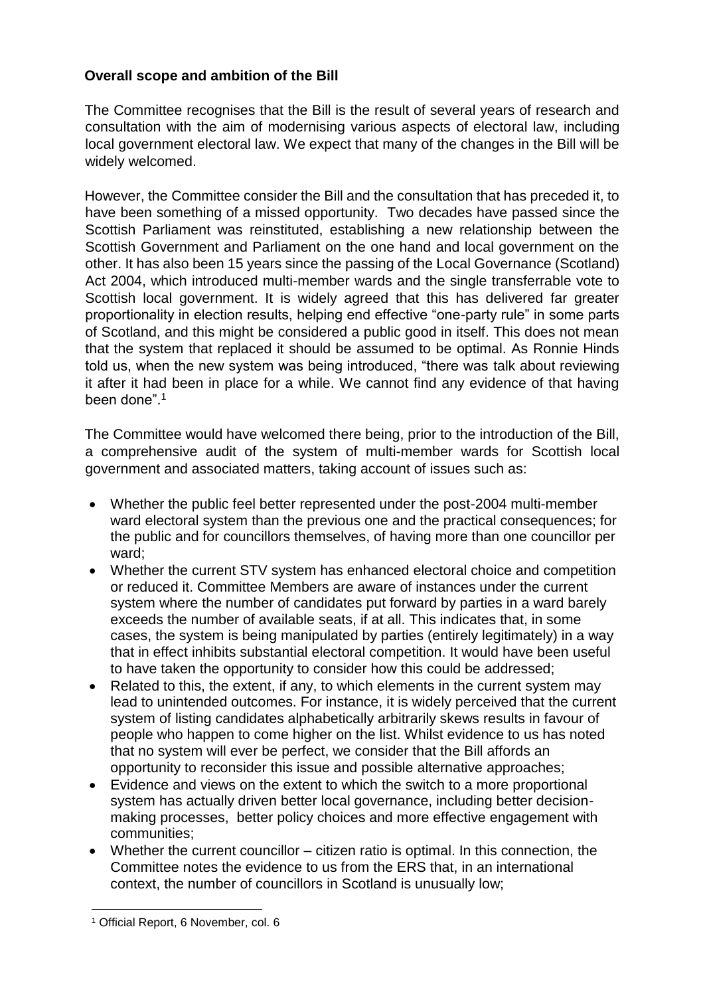## **Overall scope and ambition of the Bill**

The Committee recognises that the Bill is the result of several years of research and consultation with the aim of modernising various aspects of electoral law, including local government electoral law. We expect that many of the changes in the Bill will be widely welcomed.

However, the Committee consider the Bill and the consultation that has preceded it, to have been something of a missed opportunity. Two decades have passed since the Scottish Parliament was reinstituted, establishing a new relationship between the Scottish Government and Parliament on the one hand and local government on the other. It has also been 15 years since the passing of the Local Governance (Scotland) Act 2004, which introduced multi-member wards and the single transferrable vote to Scottish local government. It is widely agreed that this has delivered far greater proportionality in election results, helping end effective "one-party rule" in some parts of Scotland, and this might be considered a public good in itself. This does not mean that the system that replaced it should be assumed to be optimal. As Ronnie Hinds told us, when the new system was being introduced, "there was talk about reviewing it after it had been in place for a while. We cannot find any evidence of that having been done".<sup>1</sup>

The Committee would have welcomed there being, prior to the introduction of the Bill, a comprehensive audit of the system of multi-member wards for Scottish local government and associated matters, taking account of issues such as:

- Whether the public feel better represented under the post-2004 multi-member ward electoral system than the previous one and the practical consequences; for the public and for councillors themselves, of having more than one councillor per ward;
- Whether the current STV system has enhanced electoral choice and competition or reduced it. Committee Members are aware of instances under the current system where the number of candidates put forward by parties in a ward barely exceeds the number of available seats, if at all. This indicates that, in some cases, the system is being manipulated by parties (entirely legitimately) in a way that in effect inhibits substantial electoral competition. It would have been useful to have taken the opportunity to consider how this could be addressed;
- Related to this, the extent, if any, to which elements in the current system may lead to unintended outcomes. For instance, it is widely perceived that the current system of listing candidates alphabetically arbitrarily skews results in favour of people who happen to come higher on the list. Whilst evidence to us has noted that no system will ever be perfect, we consider that the Bill affords an opportunity to reconsider this issue and possible alternative approaches;
- Evidence and views on the extent to which the switch to a more proportional system has actually driven better local governance, including better decisionmaking processes, better policy choices and more effective engagement with communities;
- Whether the current councillor citizen ratio is optimal. In this connection, the Committee notes the evidence to us from the ERS that, in an international context, the number of councillors in Scotland is unusually low;

l

<sup>1</sup> Official Report, 6 November, col. 6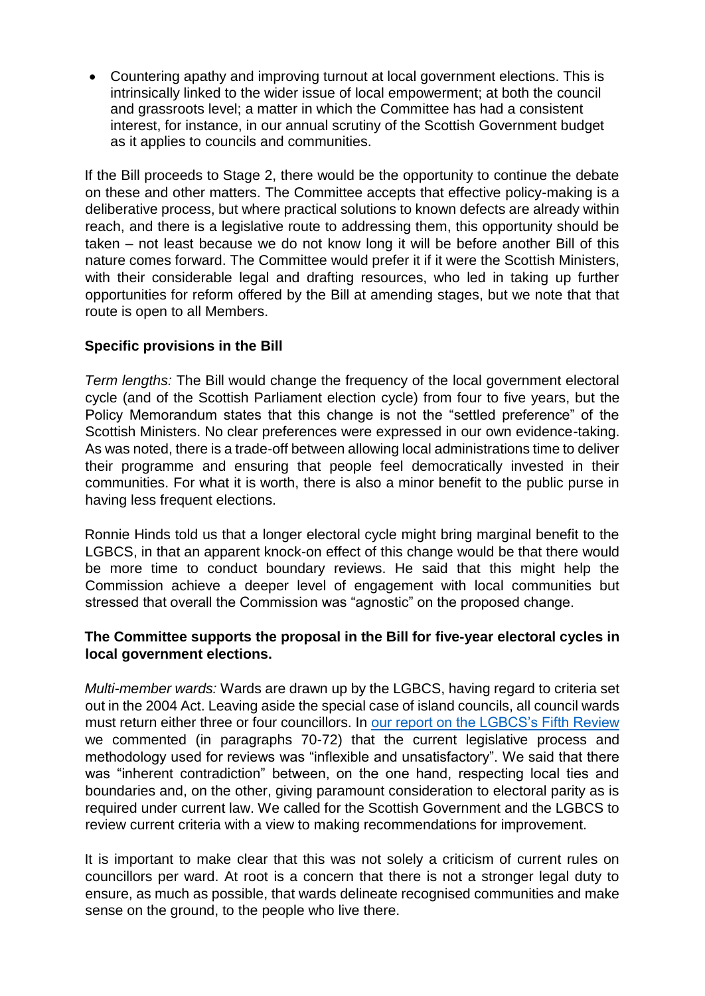• Countering apathy and improving turnout at local government elections. This is intrinsically linked to the wider issue of local empowerment; at both the council and grassroots level; a matter in which the Committee has had a consistent interest, for instance, in our annual scrutiny of the Scottish Government budget as it applies to councils and communities.

If the Bill proceeds to Stage 2, there would be the opportunity to continue the debate on these and other matters. The Committee accepts that effective policy-making is a deliberative process, but where practical solutions to known defects are already within reach, and there is a legislative route to addressing them, this opportunity should be taken – not least because we do not know long it will be before another Bill of this nature comes forward. The Committee would prefer it if it were the Scottish Ministers, with their considerable legal and drafting resources, who led in taking up further opportunities for reform offered by the Bill at amending stages, but we note that that route is open to all Members.

## **Specific provisions in the Bill**

*Term lengths:* The Bill would change the frequency of the local government electoral cycle (and of the Scottish Parliament election cycle) from four to five years, but the Policy Memorandum states that this change is not the "settled preference" of the Scottish Ministers. No clear preferences were expressed in our own evidence-taking. As was noted, there is a trade-off between allowing local administrations time to deliver their programme and ensuring that people feel democratically invested in their communities. For what it is worth, there is also a minor benefit to the public purse in having less frequent elections.

Ronnie Hinds told us that a longer electoral cycle might bring marginal benefit to the LGBCS, in that an apparent knock-on effect of this change would be that there would be more time to conduct boundary reviews. He said that this might help the Commission achieve a deeper level of engagement with local communities but stressed that overall the Commission was "agnostic" on the proposed change.

#### **The Committee supports the proposal in the Bill for five-year electoral cycles in local government elections.**

*Multi-member wards:* Wards are drawn up by the LGBCS, having regard to criteria set out in the 2004 Act. Leaving aside the special case of island councils, all council wards must return either three or four councillors. In [our report on the LGBCS's Fifth Review](http://www.parliament.scot/S5_Local_Gov/Reports/LGCS052016R03.pdf) we commented (in paragraphs 70-72) that the current legislative process and methodology used for reviews was "inflexible and unsatisfactory". We said that there was "inherent contradiction" between, on the one hand, respecting local ties and boundaries and, on the other, giving paramount consideration to electoral parity as is required under current law. We called for the Scottish Government and the LGBCS to review current criteria with a view to making recommendations for improvement.

It is important to make clear that this was not solely a criticism of current rules on councillors per ward. At root is a concern that there is not a stronger legal duty to ensure, as much as possible, that wards delineate recognised communities and make sense on the ground, to the people who live there.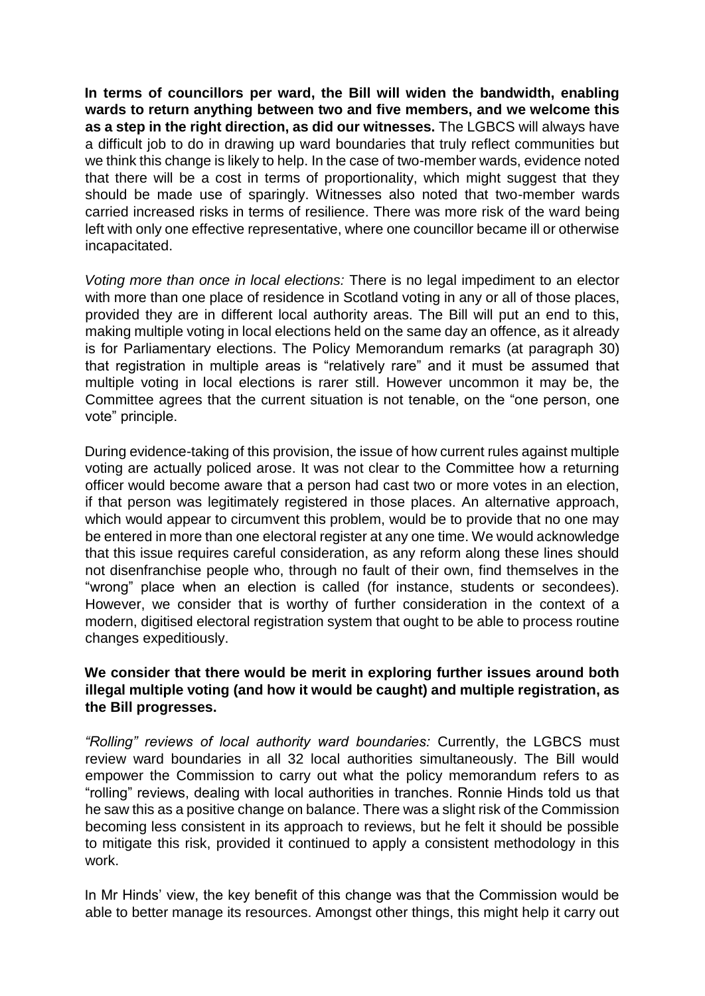**In terms of councillors per ward, the Bill will widen the bandwidth, enabling wards to return anything between two and five members, and we welcome this as a step in the right direction, as did our witnesses.** The LGBCS will always have a difficult job to do in drawing up ward boundaries that truly reflect communities but we think this change is likely to help. In the case of two-member wards, evidence noted that there will be a cost in terms of proportionality, which might suggest that they should be made use of sparingly. Witnesses also noted that two-member wards carried increased risks in terms of resilience. There was more risk of the ward being left with only one effective representative, where one councillor became ill or otherwise incapacitated.

*Voting more than once in local elections:* There is no legal impediment to an elector with more than one place of residence in Scotland voting in any or all of those places, provided they are in different local authority areas. The Bill will put an end to this, making multiple voting in local elections held on the same day an offence, as it already is for Parliamentary elections. The Policy Memorandum remarks (at paragraph 30) that registration in multiple areas is "relatively rare" and it must be assumed that multiple voting in local elections is rarer still. However uncommon it may be, the Committee agrees that the current situation is not tenable, on the "one person, one vote" principle.

During evidence-taking of this provision, the issue of how current rules against multiple voting are actually policed arose. It was not clear to the Committee how a returning officer would become aware that a person had cast two or more votes in an election, if that person was legitimately registered in those places. An alternative approach, which would appear to circumvent this problem, would be to provide that no one may be entered in more than one electoral register at any one time. We would acknowledge that this issue requires careful consideration, as any reform along these lines should not disenfranchise people who, through no fault of their own, find themselves in the "wrong" place when an election is called (for instance, students or secondees). However, we consider that is worthy of further consideration in the context of a modern, digitised electoral registration system that ought to be able to process routine changes expeditiously.

#### **We consider that there would be merit in exploring further issues around both illegal multiple voting (and how it would be caught) and multiple registration, as the Bill progresses.**

*"Rolling" reviews of local authority ward boundaries:* Currently, the LGBCS must review ward boundaries in all 32 local authorities simultaneously. The Bill would empower the Commission to carry out what the policy memorandum refers to as "rolling" reviews, dealing with local authorities in tranches. Ronnie Hinds told us that he saw this as a positive change on balance. There was a slight risk of the Commission becoming less consistent in its approach to reviews, but he felt it should be possible to mitigate this risk, provided it continued to apply a consistent methodology in this work.

In Mr Hinds' view, the key benefit of this change was that the Commission would be able to better manage its resources. Amongst other things, this might help it carry out